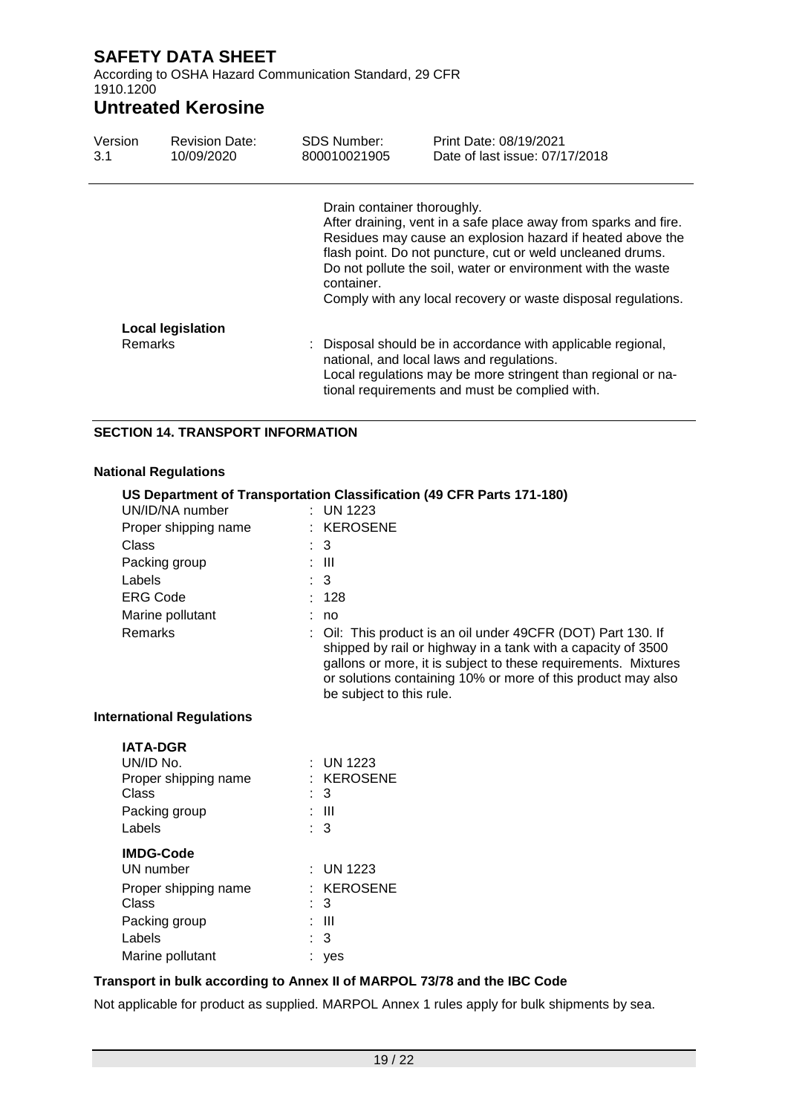According to OSHA Hazard Communication Standard, 29 CFR 1910.1200

## **Untreated Kerosine**

| Version                                   | <b>Revision Date:</b>    | <b>SDS Number:</b><br>95₿                                                                                                                                                                                                                                                                                                    | Print Date: 04/01/2022<br>Date of last issue: 04/01/2022                                                                                                                                                                    |
|-------------------------------------------|--------------------------|------------------------------------------------------------------------------------------------------------------------------------------------------------------------------------------------------------------------------------------------------------------------------------------------------------------------------|-----------------------------------------------------------------------------------------------------------------------------------------------------------------------------------------------------------------------------|
| Drain container thoroughly.<br>container. |                          | After draining, vent in a safe place away from sparks and fire.<br>Residues may cause an explosion hazard if heated above the<br>flash point. Do not puncture, cut or weld uncleaned drums.<br>Do not pollute the soil, water or environment with the waste<br>Comply with any local recovery or waste disposal regulations. |                                                                                                                                                                                                                             |
|                                           | <b>Local legislation</b> |                                                                                                                                                                                                                                                                                                                              |                                                                                                                                                                                                                             |
| <b>Remarks</b>                            |                          |                                                                                                                                                                                                                                                                                                                              | : Disposal should be in accordance with applicable regional,<br>national, and local laws and regulations.<br>Local regulations may be more stringent than regional or na-<br>tional requirements and must be complied with. |

## **SECTION 14. TRANSPORT INFORMATION**

## **National Regulations**

#### **US Department of Transportation Classification (49 CFR Parts 171-180)** UN/ID/NA number

| UNIU/INA HUHIDEI     | . UN IZZJ                                                                                                                                                                                                                                                      |
|----------------------|----------------------------------------------------------------------------------------------------------------------------------------------------------------------------------------------------------------------------------------------------------------|
| Proper shipping name | : KEROSENE                                                                                                                                                                                                                                                     |
| Class                | : 3                                                                                                                                                                                                                                                            |
| Packing group        | : III                                                                                                                                                                                                                                                          |
| Labels               | : 3                                                                                                                                                                                                                                                            |
| <b>ERG Code</b>      | : 128                                                                                                                                                                                                                                                          |
| Marine pollutant     | : no                                                                                                                                                                                                                                                           |
| Remarks              | : Oil: This product is an oil under 49CFR (DOT) Part 130. If<br>shipped by rail or highway in a tank with a capacity of 3500<br>gallons or more, it is subject to these requirements. Mixtures<br>or solutions containing 10% or more of this product may also |

be subject to this rule.

## **International Regulations**

| <b>IATA-DGR</b><br>UN/ID No.<br>Proper shipping name<br>Class<br>Packing group<br>Labels | $:$ UN 1223<br>: KEROSENE<br>: 3<br>: III<br>: 3 |
|------------------------------------------------------------------------------------------|--------------------------------------------------|
| <b>IMDG-Code</b>                                                                         |                                                  |
| UN number                                                                                | : UN 1223                                        |
| Proper shipping name                                                                     | <b>KEROSENE</b>                                  |
| Class                                                                                    | : 3                                              |
| Packing group                                                                            | Ш                                                |
| Labels                                                                                   | 3                                                |
|                                                                                          |                                                  |

## **Transport in bulk according to Annex II of MARPOL 73/78 and the IBC Code**

Not applicable for product as supplied. MARPOL Annex 1 rules apply for bulk shipments by sea.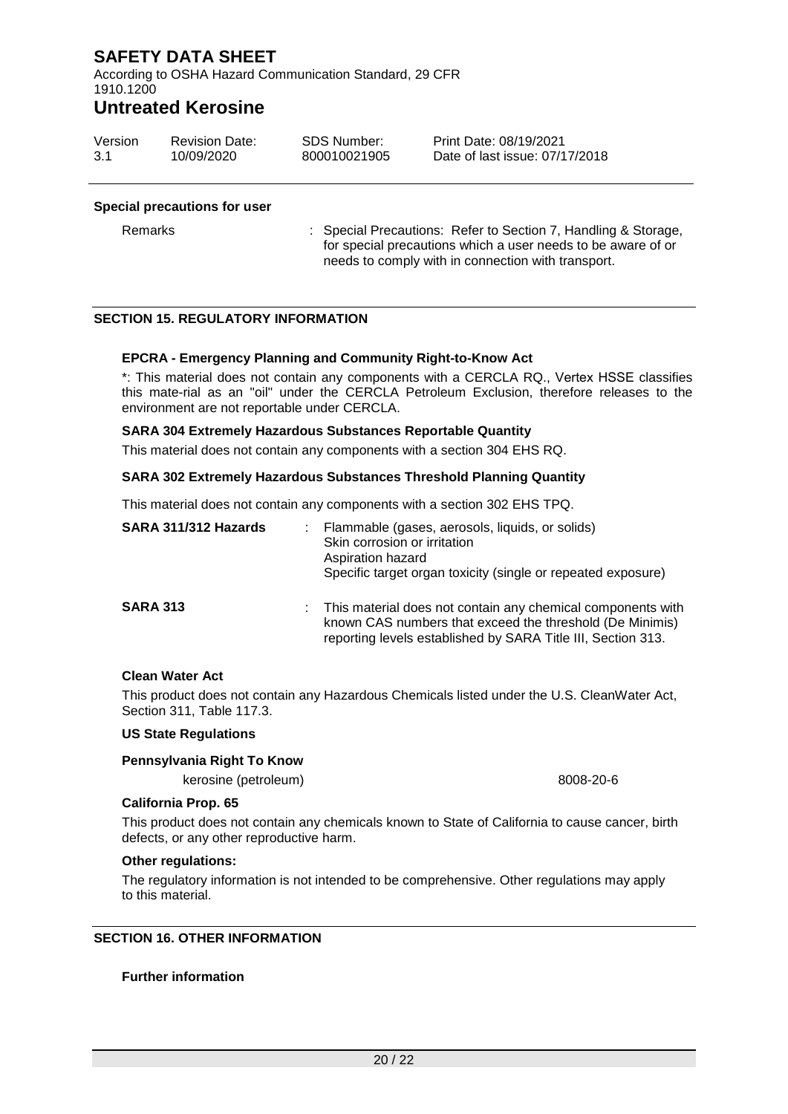According to OSHA Hazard Communication Standard, 29 CFR 1910.1200

## **Untreated Kerosine**

| Version | <b>Revision Date:</b> | SDS Number: | Print Date: 04/01/2022         |
|---------|-----------------------|-------------|--------------------------------|
| 1 O     | 04/01/2022            | VRAM00044   | Date of last issue: 04/01/2022 |

#### **Special precautions for user**

Remarks : Special Precautions: Refer to Section 7, Handling & Storage, for special precautions which a user needs to be aware of or needs to comply with in connection with transport.

## **SECTION 15. REGULATORY INFORMATION**

## **EPCRA - Emergency Planning and Community Right-to-Know Act**

\*: This material does not contain any components with a CERCLA RQ., Vertex HSSE classifies this mate-rial as an "oil" under the CERCLA Petroleum Exclusion, therefore releases to the environment are not reportable under CERCLA.

#### **SARA 304 Extremely Hazardous Substances Reportable Quantity**

This material does not contain any components with a section 304 EHS RQ.

## **SARA 302 Extremely Hazardous Substances Threshold Planning Quantity**

This material does not contain any components with a section 302 EHS TPQ.

| SARA 311/312 Hazards |    | Flammable (gases, aerosols, liquids, or solids)<br>Skin corrosion or irritation<br>Aspiration hazard<br>Specific target organ toxicity (single or repeated exposure)                    |
|----------------------|----|-----------------------------------------------------------------------------------------------------------------------------------------------------------------------------------------|
| <b>SARA 313</b>      | ÷. | This material does not contain any chemical components with<br>known CAS numbers that exceed the threshold (De Minimis)<br>reporting levels established by SARA Title III, Section 313. |

#### **Clean Water Act**

This product does not contain any Hazardous Chemicals listed under the U.S. CleanWater Act, Section 311, Table 117.3.

## **US State Regulations**

## **Pennsylvania Right To Know**

kerosine (petroleum) 8008-20-6

#### **California Prop. 65**

This product does not contain any chemicals known to State of California to cause cancer, birth defects, or any other reproductive harm.

#### **Other regulations:**

The regulatory information is not intended to be comprehensive. Other regulations may apply to this material.

## **SECTION 16. OTHER INFORMATION**

## **Further information**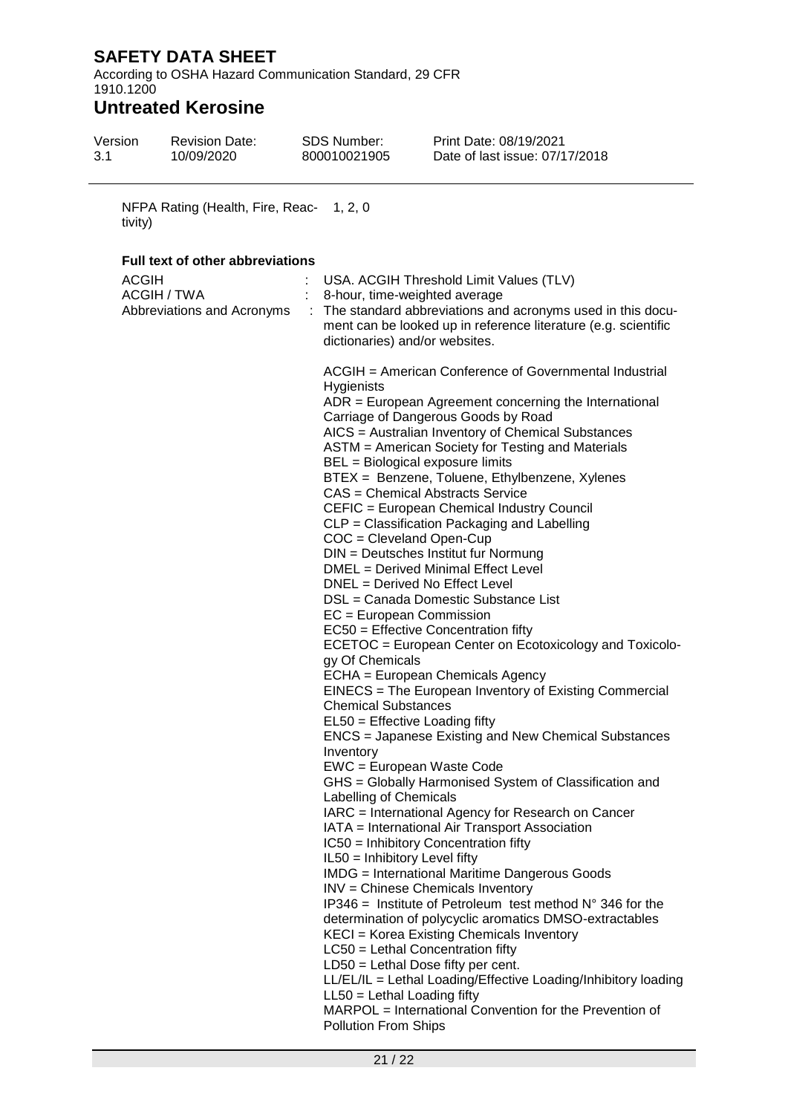According to OSHA Hazard Communication Standard, 29 CFR 1910.1200

# **Untreated Kerosine**

| Version | <b>Revision Date:</b> | SDS Number: | Print Date: 04/01/2022         |
|---------|-----------------------|-------------|--------------------------------|
| 1.0     | 04/01/2022            | VRAM00044   | Date of last issue: 04/01/2022 |

NFPA Rating (Health, Fire, Reac-1, 2, 0 tivity)

## **Full text of other abbreviations**

| <b>ACGIH</b><br>ACGIH / TWA<br>Abbreviations and Acronyms | $\mathcal{L}$ | USA. ACGIH Threshold Limit Values (TLV)<br>8-hour, time-weighted average<br>The standard abbreviations and acronyms used in this docu-<br>ment can be looked up in reference literature (e.g. scientific<br>dictionaries) and/or websites.                                                                                                                                                                                                                                                                                                                                                                                                                                                                                                                                                                                                                                                                                                                                                                                                                                                                                                                                                                                                                                                                                                                                                                                                                                                                                                                                                                                                                                                                                                                       |
|-----------------------------------------------------------|---------------|------------------------------------------------------------------------------------------------------------------------------------------------------------------------------------------------------------------------------------------------------------------------------------------------------------------------------------------------------------------------------------------------------------------------------------------------------------------------------------------------------------------------------------------------------------------------------------------------------------------------------------------------------------------------------------------------------------------------------------------------------------------------------------------------------------------------------------------------------------------------------------------------------------------------------------------------------------------------------------------------------------------------------------------------------------------------------------------------------------------------------------------------------------------------------------------------------------------------------------------------------------------------------------------------------------------------------------------------------------------------------------------------------------------------------------------------------------------------------------------------------------------------------------------------------------------------------------------------------------------------------------------------------------------------------------------------------------------------------------------------------------------|
|                                                           |               | ACGIH = American Conference of Governmental Industrial<br>Hygienists<br>$ADR = European Agreement concerning the International$<br>Carriage of Dangerous Goods by Road<br>AICS = Australian Inventory of Chemical Substances<br>ASTM = American Society for Testing and Materials<br>BEL = Biological exposure limits<br>BTEX = Benzene, Toluene, Ethylbenzene, Xylenes<br>CAS = Chemical Abstracts Service<br>CEFIC = European Chemical Industry Council<br>CLP = Classification Packaging and Labelling<br>$COC = Cleveland Open-Cup$<br>DIN = Deutsches Institut fur Normung<br>DMEL = Derived Minimal Effect Level<br>DNEL = Derived No Effect Level<br>DSL = Canada Domestic Substance List<br>$EC = European Commission$<br>EC50 = Effective Concentration fifty<br>ECETOC = European Center on Ecotoxicology and Toxicolo-<br>gy Of Chemicals<br>ECHA = European Chemicals Agency<br>EINECS = The European Inventory of Existing Commercial<br><b>Chemical Substances</b><br>$EL50 = E$ ffective Loading fifty<br><b>ENCS</b> = Japanese Existing and New Chemical Substances<br>Inventory<br>EWC = European Waste Code<br>GHS = Globally Harmonised System of Classification and<br>Labelling of Chemicals<br>IARC = International Agency for Research on Cancer<br>IATA = International Air Transport Association<br>IC50 = Inhibitory Concentration fifty<br>$IL50 = Inhibitory Level fifty$<br><b>IMDG</b> = International Maritime Dangerous Goods<br>INV = Chinese Chemicals Inventory<br>$IP346 =$ Institute of Petroleum test method $N^{\circ}$ 346 for the<br>determination of polycyclic aromatics DMSO-extractables<br>KECI = Korea Existing Chemicals Inventory<br>LC50 = Lethal Concentration fifty<br>$LD50 = Lethal Does fifty per cent.$ |
|                                                           |               | LL/EL/IL = Lethal Loading/Effective Loading/Inhibitory loading<br>$LL50 = Lethal$ Loading fifty<br>MARPOL = International Convention for the Prevention of<br><b>Pollution From Ships</b>                                                                                                                                                                                                                                                                                                                                                                                                                                                                                                                                                                                                                                                                                                                                                                                                                                                                                                                                                                                                                                                                                                                                                                                                                                                                                                                                                                                                                                                                                                                                                                        |